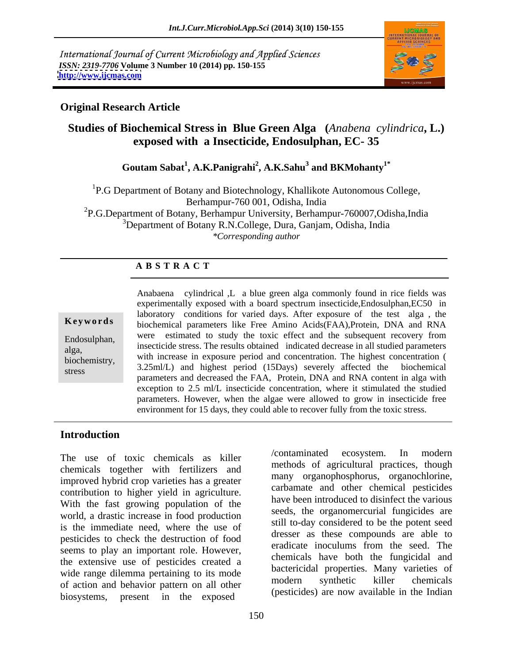International Journal of Current Microbiology and Applied Sciences *ISSN: 2319-7706* **Volume 3 Number 10 (2014) pp. 150-155 <http://www.ijcmas.com>**



# **Original Research Article**

# **Studies of Biochemical Stress in Blue Green Alga (***Anabena cylindrica***, L.) exposed with a Insecticide, Endosulphan, EC- 35**

#### **Goutam Sabat<sup>1</sup> , A.K.Panigrahi<sup>2</sup> , A.K.Sahu<sup>3</sup> and BKMohanty1\***

<sup>1</sup>P.G Department of Botany and Biotechnology, Khallikote Autonomous College, Berhampur-760 001, Odisha, India 2P.G.Department of Botany, Berhampur University, Berhampur-760007,Odisha,India  $3$ Department of Botany R.N.College, Dura, Ganjam, Odisha, India *\*Corresponding author*

### **A B S T R A C T**

**Ke ywo rds** biochemical parameters like Free Amino Acids(FAA),Protein, DNA and RNA Endosulphan, were estimated to study the toxic effect and the subsequent recovery from messuphism, insecticide stress. The results obtained indicated decrease in all studied parameters alga,  $\frac{dE}{dt}$  with increase in exposure period and concentration. The highest concentration ( stress 3.25m/L) and ingliest period (15Days) severely ariected the biochemical<br>parameters and decreased the FAA, Protein, DNA and RNA content in alga with Anabaena cylindrical ,L a blue green alga commonly found in rice fields was experimentally exposed with a board spectrum insecticide,Endosulphan,EC50 in laboratory conditions for varied days. After exposure of the test alga , the 3.25ml/L) and highest period (15Days) severely affected the biochemical exception to 2.5 ml/L insecticide concentration, where it stimulated the studied parameters. However, when the algae were allowed to grow in insecticide free environment for 15 days, they could able to recover fully from the toxic stress.

## **Introduction**

The use of toxic chemicals as killer  $/$ contaminated ecosystem. In modern chemicals together with fertilizers and improved hybrid crop varieties has a greater contribution to higher yield in agriculture. With the fast growing population of the world, a drastic increase in food production is the immediate need, where the use of pesticides to check the destruction of food<br>eradicate inoculums from the seed. The seems to play an important role. However, the extensive use of pesticides created a wide range dilemma pertaining to its mode<br>modern synthetic killer chemicals of action and behavior pattern on all other biosystems, present in the exposed

 $\alpha$  /contaminated ecosystem. In methods of agricultural practices, though many organophosphorus, organochlorine, carbamate and other chemical pesticides have been introduced to disinfect the various seeds, the organomercurial fungicides are still to-day considered to be the potent seed dresser as these compounds are able to eradicate inoculums from the seed. The chemicals have both the fungicidal and bactericidal properties. Many varieties of modern synthetic killer chemicals (pesticides) are now available in the Indian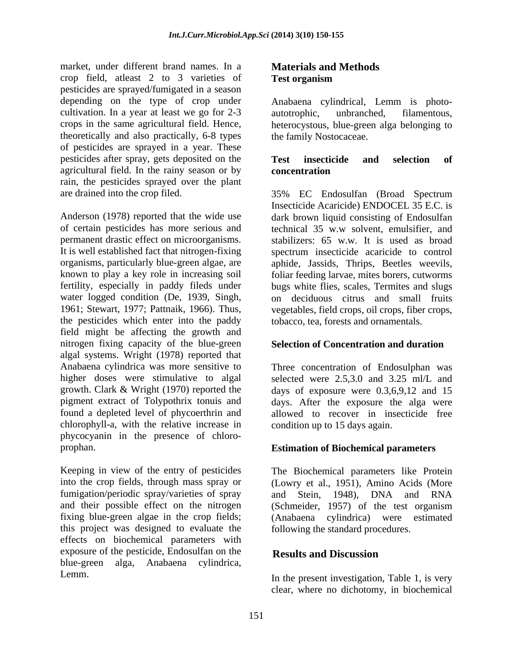market, under different brand names. In a crop field, atleast 2 to 3 varieties of pesticides are sprayed/fumigated in a season depending on the type of crop under Anabaena cylindrical, Lemm is photo cultivation. In a year at least we go for 2-3 autotrophic, unbranched, filamentous, crops in the same agricultural field. Hence, heterocystous, blue-green alga belonging to theoretically and also practically, 6-8 types of pesticides are sprayed in a year. These pesticides after spray, gets deposited on the Test insecticide and selection of agricultural field. In the rainy season or by rain, the pesticides sprayed over the plant

Anderson (1978) reported that the wide use dark brown liquid consisting of Endosulfan of certain pesticides has more serious and technical 35 w.w solvent, emulsifier, and permanent drastic effect on microorganisms. stabilizers: 65 w.w. It is used as broad It is well established fact that nitrogen-fixing spectrum insecticide acaricide to control organisms, particularly blue-green algae, are aphide, Jassids, Thrips, Beetles weevils, known to play a key role in increasing soil foliar feeding larvae, mites borers, cutworms fertility, especially in paddy fileds under bugs white flies, scales, Termites and slugs water logged condition (De, 1939, Singh, on deciduous citrus and small fruits 1961; Stewart, 1977; Pattnaik, 1966). Thus, vegetables, field crops, oil crops, fiber crops, the pesticides which enter into the paddy field might be affecting the growth and nitrogen fixing capacity of the blue-green algal systems. Wright (1978) reported that Anabaena cylindrica was more sensitive to Three concentration of Endosulphan was higher doses were stimulative to algal selected were 2.5,3.0 and 3.25 ml/L and growth. Clark & Wright (1970) reported the days of exposure were 0.3,6,9,12 and 15 pigment extract of Tolypothrix tonuis and days. After the exposure the alga were found a depleted level of phycoerthrin and allowed to recover in insecticide free chlorophyll-a, with the relative increase in phycocyanin in the presence of chloro-

Keeping in view of the entry of pesticides The Biochemical parameters like Protein into the crop fields, through mass spray or (Lowry et al., 1951), Amino Acids (More fumigation/periodic spray/varieties of spray and Stein, 1948). DNA and RNA and their possible effect on the nitrogen (Schmeider, 1957) of the test organism fixing blue-green algae in the crop fields; (Anabaena cylindrica) were estimated this project was designed to evaluate the effects on biochemical parameters with exposure of the pesticide, Endosulfan on the **Results and Discussion** blue-green alga, Anabaena cylindrica,

# **Materials and Methods Test organism**

autotrophic, unbranched, filamentous, the family Nostocaceae.

### **Test insecticide and selection of concentration**

are drained into the crop filed. 35% EC Endosulfan (Broad Spectrum Insecticide Acaricide) ENDOCEL 35 E.C. is tobacco, tea, forests and ornamentals.

### **Selection of Concentration and duration**

condition up to 15 days again.

# prophan. **Estimation of Biochemical parameters**

and Stein, 1948), DNA and RNA following the standard procedures.

# **Results and Discussion**

Lemm. In the present investigation, Table 1, is very clear, where no dichotomy, in biochemical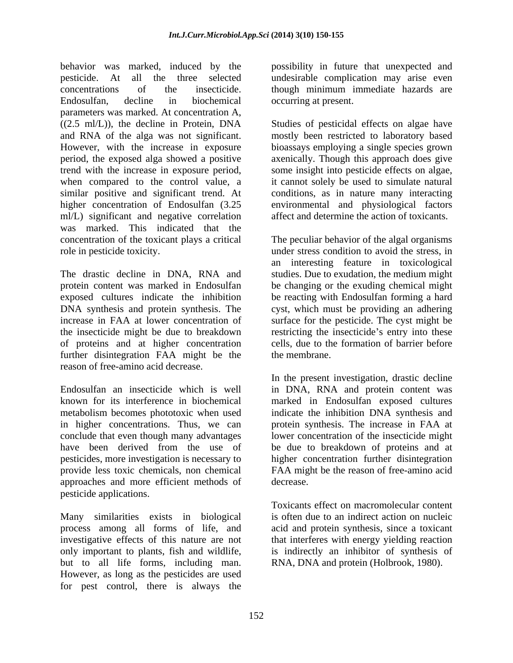behavior was marked, induced by the possibility in future that unexpected and pesticide. At all the three selected undesirable complication may arise even concentrations of the insecticide. though minimum immediate hazards are Endosulfan, decline in biochemical parameters was marked. At concentration A, ((2.5 ml/L)), the decline in Protein, DNA Studies of pesticidal effects on algae have and RNA of the alga was not significant. mostly been restricted to laboratory based However, with the increase in exposure bioassays employing a single species grown period, the exposed alga showed a positive axenically. Though this approach does give trend with the increase in exposure period, some insight into pesticide effects on algae, when compared to the control value, a it cannot solely be used to simulate natural similar positive and significant trend. At conditions, as in nature many interacting higher concentration of Endosulfan (3.25 environmental and physiological factors ml/L) significant and negative correlation was marked. This indicated that the concentration of the toxicant plays acritical The peculiar behavior of the algal organisms role in pesticide toxicity. under stress condition to avoid the stress, in

The drastic decline in DNA, RNA and studies. Due to exudation, the medium might protein content was marked in Endosulfan be changing or the exuding chemical might exposed cultures indicate the inhibition be reacting with Endosulfan forming a hard DNA synthesis and protein synthesis. The cyst, which must be providing an adhering increase in FAA at lower concentration of surface for the pesticide. The cyst might be the insecticide might be due to breakdown restricting the insecticide's entry into these of proteins and at higher concentration further disintegration FAA might be the the membrane. reason of free-amino acid decrease.

Endosulfan an insecticide which is well in DNA, RNA and protein content was known for its interference in biochemical marked in Endosulfan exposed cultures metabolism becomes phototoxic when used indicate the inhibition DNA synthesis and in higher concentrations. Thus, we can protein synthesis. The increase in FAA at conclude that even though many advantages lower concentration of the insecticide might have been derived from the use of be due to breakdown of proteins and at pesticides, more investigation is necessary to higher concentration further disintegration provide less toxic chemicals, non chemical FAA might be the reason of free-amino acid approaches and more efficient methods of pesticide applications.

Many similarities exists in biological process among all forms of life, and acid and protein synthesis, since a toxicant investigative effects of this nature are not that interferes with energy yielding reaction only important to plants, fish and wildlife, is indirectly an inhibitor of synthesis of but to all life forms, including man. However, as long as the pesticides are used for pest control, there is always the

occurring at present.

affect and determine the action of toxicants.

an interesting feature in toxicological cells, due to the formation of barrier before the membrane.

In the present investigation, drastic decline decrease.

Toxicants effect on macromolecular content is often due to an indirect action on nucleic RNA, DNA and protein (Holbrook, 1980).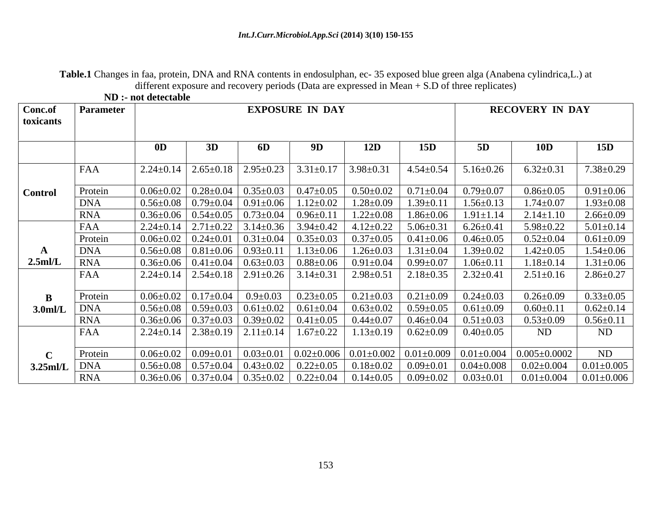**Table.1** Changes in faa, protein, DNA and RNA contents in endosulphan, ec- 35 exposed blue green alga (Anabena cylindrica,L.) at different exposure and recovery periods (Data are expressed in Mean + S.D of three replicates)<br>ND :- not detectable

|                      |                  | ND :- not detectable |                        |    |                                                                                                                 |                 |     |                                                                                                                                                              |                                                   |                                     |
|----------------------|------------------|----------------------|------------------------|----|-----------------------------------------------------------------------------------------------------------------|-----------------|-----|--------------------------------------------------------------------------------------------------------------------------------------------------------------|---------------------------------------------------|-------------------------------------|
| Conc.of<br>toxicants | <b>Parameter</b> |                      | <b>EXPOSURE IN DAY</b> |    |                                                                                                                 |                 |     | <b>RECOVERY IN DAY</b>                                                                                                                                       |                                                   |                                     |
|                      |                  |                      | 3D                     | 6D |                                                                                                                 | 12D             | 15D | 5D                                                                                                                                                           | <b>10D</b>                                        | 15D                                 |
|                      | FAA              |                      |                        |    | $2.24 \pm 0.14$   $2.65 \pm 0.18$   $2.95 \pm 0.23$   $3.31 \pm 0.17$   $3.98 \pm 0.31$                         |                 |     | $\vert$ 4.54±0.54 $\vert$ 5.16±0.26                                                                                                                          | $6.32 \pm 0.31$                                   | $7.38{\pm}0.29$                     |
| <b>Control</b>       | Protein          |                      |                        |    |                                                                                                                 |                 |     | $0.06\pm0.02$   $0.28\pm0.04$   $0.35\pm0.03$   $0.47\pm0.05$   $0.50\pm0.02$   $0.71\pm0.04$   $0.79\pm0.07$                                                | $0.86 \pm 0.05$                                   | $0.91 \pm 0.06$                     |
|                      | DN/              |                      |                        |    | $0.56\pm0.08$   $0.79\pm0.04$   $0.91\pm0.06$   $1.12\pm0.02$                                                   | $1.28 \pm 0.09$ |     | $1.39\pm0.11$   $1.56\pm0.13$                                                                                                                                | $1.74 \pm 0.07$                                   | $1.93 \pm 0.08$                     |
|                      | <b>RNA</b>       |                      |                        |    | $0.36\pm0.06$   $0.54\pm0.05$   $0.73\pm0.04$   $0.96\pm0.11$                                                   |                 |     | $1.22 \pm 0.08$   $1.86 \pm 0.06$   $1.91 \pm 1.14$                                                                                                          | $2.14 \pm 1.10$                                   | $2.66 \pm 0.09$                     |
|                      | FAA              |                      |                        |    | $2.24 \pm 0.14$ $2.71 \pm 0.22$ $3.14 \pm 0.36$ $3.94 \pm 0.42$ $4.12 \pm 0.22$ $5.06 \pm 0.31$ $6.26 \pm 0.41$ |                 |     |                                                                                                                                                              | $5.98 \pm 0.22$                                   | $5.01 \pm 0.14$                     |
|                      | Protein          |                      |                        |    |                                                                                                                 |                 |     | $0.06\pm0.02$   $0.24\pm0.01$   $0.31\pm0.04$   $0.35\pm0.03$   $0.37\pm0.05$   $0.41\pm0.06$   $0.46\pm0.05$                                                | $0.52{\pm}0.04$                                   | $0.61 \pm 0.09$                     |
|                      | <b>DNA</b>       |                      |                        |    | $0.56\pm0.08$   $0.81\pm0.06$   $0.93\pm0.11$   $1.13\pm0.06$   $1.26\pm0.03$   $1.31\pm0.04$                   |                 |     | $1.39 \pm 0.02$                                                                                                                                              | $1.42 \pm 0.05$                                   | $1.54 \pm 0.06$                     |
| $2.5$ ml/L           | <b>RNA</b>       |                      |                        |    | $0.36\pm0.06$   $0.41\pm0.04$   $0.63\pm0.03$   $0.88\pm0.06$   $0.91\pm0.04$   $0.99\pm0.07$                   |                 |     | $1.06 \pm 0.11$                                                                                                                                              | $1.18 \pm 0.14$                                   | $1.31 \pm 0.06$                     |
|                      | FAA              |                      |                        |    |                                                                                                                 |                 |     | $2.24 \pm 0.14$ $2.54 \pm 0.18$ $2.91 \pm 0.26$ $3.14 \pm 0.31$ $2.98 \pm 0.51$ $2.18 \pm 0.35$ $2.32 \pm 0.41$                                              | $2.51 \pm 0.16$                                   | $2.86 \pm 0.27$                     |
|                      | Protein          |                      |                        |    |                                                                                                                 |                 |     | $0.06\pm0.02$ $\vert$ 0.17 $\pm$ 0.04 $\vert$ 0.9 $\pm$ 0.03 $\vert$ 0.23 $\pm$ 0.05 $\vert$ 0.21 $\pm$ 0.03 $\vert$ 0.21 $\pm$ 0.09 $\vert$ 0.24 $\pm$ 0.03 | $0.26 \pm 0.09$                                   | $0.33 \pm 0.05$                     |
| 3.0 <sub>m</sub> /I  | <b>DNA</b>       |                      |                        |    |                                                                                                                 |                 |     | $0.56\pm0.08$ $0.59\pm0.03$ $0.61\pm0.02$ $0.61\pm0.04$ $0.63\pm0.02$ $0.59\pm0.05$ $0.61\pm0.09$                                                            | $0.60 \pm 0.11$                                   | $0.62 \pm 0.14$                     |
|                      | <b>RNA</b>       |                      |                        |    |                                                                                                                 |                 |     | $0.36\pm0.06$ $\mid$ $0.37\pm0.03$ $\mid$ $0.39\pm0.02$ $\mid$ $0.41\pm0.05$ $\mid$ $0.44\pm0.07$ $\mid$ $0.46\pm0.04$ $\mid$ $0.51\pm0.03$                  | $0.53 \pm 0.09$                                   | $0.56 \pm 0.11$                     |
|                      | FAA              |                      |                        |    | $2.24\pm0.14$   $2.38\pm0.19$   $2.11\pm0.14$   $1.67\pm0.22$                                                   |                 |     | $1.13\pm0.19$   $0.62\pm0.09$   $0.40\pm0.05$                                                                                                                | ND                                                | ND                                  |
|                      |                  |                      |                        |    |                                                                                                                 |                 |     |                                                                                                                                                              |                                                   |                                     |
|                      | Protein          |                      |                        |    |                                                                                                                 |                 |     | $0.06\pm0.02$   $0.09\pm0.01$   $0.03\pm0.01$   $0.02\pm0.006$   $0.01\pm0.002$   $0.01\pm0.009$   $0.01\pm0.004$   $0.005\pm0.0002$                         |                                                   | ND                                  |
| $3.25$ ml/L   DNA    |                  |                      |                        |    |                                                                                                                 |                 |     | $0.56\pm0.08$   $0.57\pm0.04$   $0.43\pm0.02$   $0.22\pm0.05$   $0.18\pm0.02$   $0.09\pm0.01$   $0.04\pm0.008$                                               |                                                   | $0.02 \pm 0.004$   $0.01 \pm 0.005$ |
|                      | <b>RNA</b>       |                      |                        |    |                                                                                                                 |                 |     | $0.36\pm0.06$   $0.37\pm0.04$   $0.35\pm0.02$   $0.22\pm0.04$   $0.14\pm0.05$   $0.09\pm0.02$   $0.03\pm0.01$                                                | $\vert 0.01 \pm 0.004 \vert 0.01 \pm 0.006 \vert$ |                                     |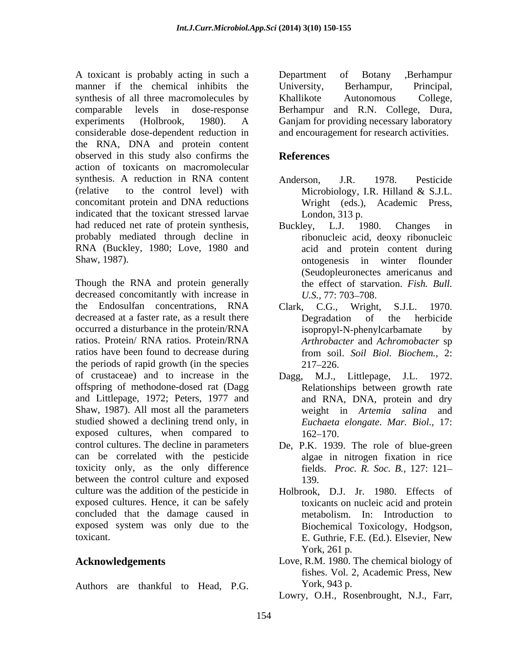A toxicant is probably acting in such a manner if the chemical inhibits the University, Berhampur, Principal, synthesis of all three macromolecules by <br>
Khallikote Autonomous College, comparable levels in dose-response Berhampur and R.N. College, Dura, experiments (Holbrook, 1980). A Ganjam for providing necessary laboratory considerable dose-dependent reduction in the RNA, DNA and protein content observed in this study also confirms the References action of toxicants on macromolecular synthesis. A reduction in RNA content Anderson, J.R. 1978. Pesticide (relative to the control level) with  $\blacksquare$  Microbiology, I.R. Hilland & S.J.L. concomitant protein and DNA reductions indicated that the toxicant stressed larvae had reduced net rate of protein synthesis, Buckley, L.J. 1980. Changes in probably mediated through decline in RNA (Buckley, 1980; Love, 1980 and

Though the RNA and protein generally decreased concomitantly with increase in  $U.S., 77: 703-708$ . the Endosulfan concentrations, RNA Clark, C.G., Wright, S.J.L. 1970. decreased at a faster rate, as a result there **Degradation** of the herbicide occurred a disturbance in the protein/RNA isopropyl-N-phenylcarbamate by ratios. Protein/ RNA ratios. Protein/RNA ratios have been found to decrease during from soil. Soil Biol. Biochem., 2: the periods of rapid growth (in the species  $217-226$ . of crustaceae) and to increase in the Dagg, M.J., Littlepage, J.L. 1972. offspring of methodone-dosed rat (Dagg and Littlepage, 1972; Peters, 1977 and Shaw, 1987). All most all the parameters studied showed a declining trend only, in exposed cultures, when compared to  $162-170$ . control cultures. The decline in parameters can be correlated with the pesticide toxicity only, as the only difference between the control culture and exposed 139. culture was the addition of the pesticide in Holbrook, D.J. Jr. 1980. Effects of exposed cultures. Hence, it can be safely concluded that the damage caused in exposed system was only due to the A usukani is probably acting in such as  $\mu$ -Botany . Dependent of Botany symbolic of all three materials of all three materials of the material continues of the energy standing energy in Khalikote Automorphis are the ene

University, Berhampur, Principal, Khallikote Autonomous College, and encouragement for research activities.

# **References**

- Anderson, J.R. 1978. Pesticide Microbiology, I.R. Hilland & S.J.L. Wright (eds.), Academic Press, London, 313 p.
- Shaw, 1987). ontogenesis in winter flounder Buckley, L.J. 1980. Changes in ribonucleic acid, deoxy ribonucleic acid and protein content during (Seudopleuronectes americanus and the effect of starvation. *Fish. Bull. U.S., 77: 703–708.* 
	- Clark, C.G., Wright, S.J.L. 1970. Degradation of the herbicide isopropyl-N-phenylcarbamate by *Arthrobacter* and *Achromobacter* sp from soil. *Soil Biol. Biochem.,* 2:  $217 - 226$ .
	- Dagg, M.J., Littlepage, J.L. 1972. Relationships between growth rate and RNA, DNA, protein and dry weight in *Artemia salina* and *Euchaeta elongate*. *Mar. Biol.,* 17: 162–170.
	- De, P.K. 1939. The role of blue-green algae in nitrogen fixation in rice fields. *Proc. R. Soc. B.,* 127: 121 139.
- toxicant. E. Guthrie, F.E. (Ed.). Elsevier, New toxicants on nucleic acid and protein metabolism. In: Introduction to Biochemical Toxicology, Hodgson, York, 261 p.
- **Acknowledgements** Love, R.M. 1980. The chemical biology of fishes. Vol. 2, Academic Press, New York, 943 p.
	- Lowry, O.H., Rosenbrought, N.J., Farr,